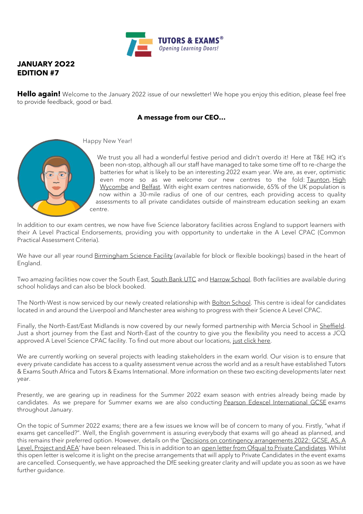

## **JANUARY 2O22 EDITION #7**

**Hello again!** Welcome to the January 2022 issue of our newsletter! We hope you enjoy this edition, please feel free to provide feedback, good or bad.

### **A message from our CEO…**



Happy New Year!

We trust you all had a wonderful festive period and didn't overdo it! Here at T&E HQ it's been non-stop, although all our staff have managed to take some time off to re-charge the batteries for what is likely to be an interesting 2022 exam year. We are, as ever, optimistic even more so as we welcome our new centres to the fold: [Taunton,](https://www.tutorsandexams.uk/taunton/) [High](https://www.tutorsandexams.uk/high-wycombe-exam-centre/)  [Wycombe](https://www.tutorsandexams.uk/high-wycombe-exam-centre/) and [Belfast.](https://www.tutorsandexams.uk/belfast-exam-centre/) With eight exam centres nationwide, 65% of the UK population is now within a 30-mile radius of one of our centres, each providing access to quality assessments to all private candidates outside of mainstream education seeking an exam centre.

In addition to our exam centres, we now have five Science laboratory facilities across England to support learners with their A Level Practical Endorsements, providing you with opportunity to undertake in the A Level CPAC (Common Practical Assessment Criteria).

We have our all year round [Birmingham Science Facility](https://www.tutorsandexams.uk/birmingham-science-lab/) (available for block or flexible bookings) based in the heart of England.

Two amazing facilities now cover the South East, [South Bank UTC](https://www.tutorsandexams.uk/utc-london-science-lab/) and [Harrow School.](https://www.tutorsandexams.uk/harrow-school-science-lab/) Both facilities are available during school holidays and can also be block booked.

The North-West is now serviced by our newly created relationship with [Bolton School.](https://www.tutorsandexams.uk/bolton-science-lab/) This centre is ideal for candidates located in and around the Liverpool and Manchester area wishing to progress with their Science A Level CPAC.

Finally, the North-East/East Midlands is now covered by our newly formed partnership with Mercia School in [Sheffield.](https://www.tutorsandexams.uk/sheffield-science-lab/) Just a short journey from the East and North-East of the country to give you the flexibility you need to access a JCQ approved A Level Science CPAC facility. To find out more about our locations, [just click here.](https://www.tutorsandexams.uk/#centre-locations)

We are currently working on several projects with leading stakeholders in the exam world. Our vision is to ensure that every private candidate has access to a quality assessment venue across the world and as a result have established Tutors & Exams South Africa and Tutors & Exams International. More information on these two exciting developments later next year.

Presently, we are gearing up in readiness for the Summer 2022 exam season with entries already being made by candidates. As we prepare for Summer exams we are also conducting [Pearson Edexcel International GCSE](https://qualifications.pearson.com/en/support/support-topics/exams/exam-timetables.html) exams throughout January.

On the topic of Summer 2022 exams; there are a few issues we know will be of concern to many of you. Firstly, "what if exams get cancelled?". Well, the English government is assuring everybody that exams will go ahead as planned, and this remains their preferred option. However, details on the '[Decisions on contingency arrangements 2022: GCSE, AS, A](https://www.gov.uk/government/consultations/contingency-arrangements-gcse-as-a-level-project-and-aea/outcome/decisions-on-contingency-arrangements-2022-gcse-as-a-level-project-and-aea)  [Level, Project and AEA](https://www.gov.uk/government/consultations/contingency-arrangements-gcse-as-a-level-project-and-aea/outcome/decisions-on-contingency-arrangements-2022-gcse-as-a-level-project-and-aea)' have been released. This is in addition to an [open letter from Ofqual to Private Candidates.](https://www.gov.uk/government/publications/open-letters-arrangements-for-gcses-as-and-a-levels-in-2022/letter-to-private-candidates) Whilst this open letter is welcome it is light on the precise arrangements that will apply to Private Candidates in the event exams are cancelled. Consequently, we have approached the DfE seeking greater clarity and will update you as soon as we have further guidance.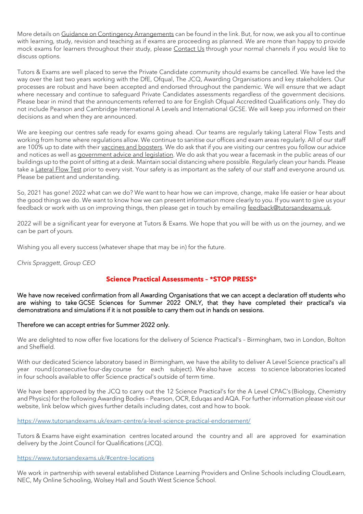More details on [Guidance on Contingency Arrangements](https://www.gov.uk/government/publications/guidance-on-contingency-arrangements-for-gcses-as-and-a-levels-in-summer-2022) can be found in the link. But, for now, we ask you all to continue with learning, study, revision and teaching as if exams are proceeding as planned. We are more than happy to provide mock exams for learners throughout their study, please [Contact Us](https://www.tutorsandexams.uk/contact-us/) through your normal channels if you would like to discuss options.

Tutors & Exams are well placed to serve the Private Candidate community should exams be cancelled. We have led the way over the last two years working with the DfE, Ofqual, The JCQ, Awarding Organisations and key stakeholders. Our processes are robust and have been accepted and endorsed throughout the pandemic. We will ensure that we adapt where necessary and continue to safeguard Private Candidates assessments regardless of the government decisions. Please bear in mind that the announcements referred to are for English Ofqual Accredited Qualifications only. They do not include Pearson and Cambridge International A Levels and International GCSE. We will keep you informed on their decisions as and when they are announced.

We are keeping our centres safe ready for exams going ahead. Our teams are regularly taking Lateral Flow Tests and working from home where regulations allow. We continue to sanitise our offices and exam areas regularly. All of our staff are 100% up to date with their [vaccines and boosters.](https://www.nhs.uk/conditions/coronavirus-covid-19/coronavirus-vaccination/book-coronavirus-vaccination/) We do ask that if you are visiting our centres you follow our advice and notices as well as [government advice and legislation.](https://www.gov.uk/coronavirus) We do ask that you wear a facemask in the public areas of our buildings up to the point of sitting at a desk. Maintain social distancing where possible. Regularly clean your hands. Please take a [Lateral Flow Test](https://www.gov.uk/order-coronavirus-rapid-lateral-flow-tests) prior to every visit. Your safety is as important as the safety of our staff and everyone around us. Please be patient and understanding.

So, 2021 has gone! 2022 what can we do? We want to hear how we can improve, change, make life easier or hear about the good things we do. We want to know how we can present information more clearly to you. If you want to give us your feedback or work with us on improving things, then please get in touch by emailing [feedback@tutorsandexams.uk.](mailto:feedback@tutorsandexams.uk)

2022 will be a significant year for everyone at Tutors & Exams. We hope that you will be with us on the journey, and we can be part of yours.

Wishing you all every success (whatever shape that may be in) for the future.

*Chris Spraggett*, *Group CEO*

#### **Science Practical Assessments – \*STOP PRESS\***

We have now received confirmation from all Awarding Organisations that we can accept a declaration off students who are wishing to take GCSE Sciences for Summer 2022 ONLY, that they have completed their practical's via demonstrations and simulations if it is not possible to carry them out in hands on sessions.

#### Therefore we can accept entries for Summer 2022 only.

We are delighted to now offer five locations for the delivery of Science Practical's – Birmingham, two in London, Bolton and Sheffield.

With our dedicated Science laboratory based in Birmingham, we have the ability to deliver A Level Science practical's all year round (consecutive four-day course for each subject).  We also have access to science laboratories located in four schools available to offer Science practical's outside of term time.

We have been approved by the JCQ to carry out the 12 Science Practical's for the A Level CPAC's (Biology, Chemistry and Physics) for the following Awarding Bodies – Pearson, OCR, Eduqas and AQA. For further information please visit our website, link below which gives further details including dates, cost and how to book.

<https://www.tutorsandexams.uk/exam-centre/a-level-science-practical-endorsement/>

Tutors & Exams have eight examination centres located around the country and all are approved for examination delivery by the Joint Council for Qualifications (JCQ).

<https://www.tutorsandexams.uk/#centre-locations>

We work in partnership with several established Distance Learning Providers and Online Schools including CloudLearn, NEC, My Online Schooling, Wolsey Hall and South West Science School.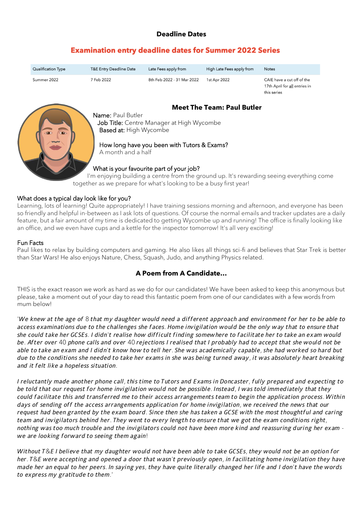## **Deadline Dates**

# **Examination entry deadline dates for Summer 2022 Series**

| <b>Qualification Type</b> | <b>T&amp;E Entry Deadline Date</b> | Late Fees apply from       | High Late Fees apply from | <b>Notes</b>                                                               |
|---------------------------|------------------------------------|----------------------------|---------------------------|----------------------------------------------------------------------------|
| Summer 2022               | 7 Feb 2022                         | 8th Feb 2022 - 31 Mar 2022 | 1st Apr 2022              | CAIE have a cut off of the<br>17th April for all entries in<br>this series |



## **Meet The Team: Paul Butler**

Name: Paul Butler Job Title: Centre Manager at High Wycombe Based at: High Wycombe

#### How long have you been with Tutors & Exams?

A month and a half

## What is your favourite part of your job?

I'm enjoying building a centre from the ground up. It's rewarding seeing everything come together as we prepare for what's looking to be a busy first year!

### What does a typical day look like for you?

Learning, lots of learning! Quite appropriately! I have training sessions morning and afternoon, and everyone has been so friendly and helpful in-between as I ask lots of questions. Of course the normal emails and tracker updates are a daily feature, but a fair amount of my time is dedicated to getting Wycombe up and running! The office is finally looking like an office, and we even have cups and a kettle for the inspector tomorrow! It's all very exciting!

#### Fun Facts

Paul likes to relax by building computers and gaming. He also likes all things sci-fi and believes that Star Trek is better than Star Wars! He also enjoys Nature, Chess, Squash, Judo, and anything Physics related.

## **A Poem from A Candidate…**

THIS is the exact reason we work as hard as we do for our candidates! We have been asked to keep this anonymous but please, take a moment out of your day to read this fantastic poem from one of our candidates with a few words from mum below!

'We knew at the age of 8 that my daughter would need a different approach and environment for her to be able to access examinations due to the challenges she faces. Home invigilation would be the only way that to ensure that she could take her GCSEs. I didn't realise how difficult finding somewhere to facilitate her to take an exam would be. After over 40 phone calls and over 40 rejections I realised that I probably had to accept that she would not be able to take an exam and I didn't know how to tell her. She was academically capable, she had worked so hard but due to the conditions she needed to take her exams in she was being turned away, it was absolutely heart breaking and it felt like a hopeless situation.

I reluctantly made another phone call, this time to Tutors and Exams in Doncaster, fully prepared and expecting to be told that our request for home invigilation would not be possible. Instead, I was told immediately that they could facilitate this and transferred me to their access arrangements team to begin the application process. Within days of sending off the access arrangements application for home invigilation, we received the news that our request had been granted by the exam board. Since then she has taken a GCSE with the most thoughtful and caring team and invigilators behind her. They went to every length to ensure that we got the exam conditions right, nothing was too much trouble and the invigilators could not have been more kind and reassuring during her examwe are looking forward to seeing them again!

Without T&E I believe that my daughter would not have been able to take GCSEs, they would not be an option for her. T&E were accepting and opened a door that wasn't previously open, in facilitating home invigilation they have made her an equal to her peers. In saying yes, they have quite literally changed her life and I don't have the words to express my gratitude to them.'